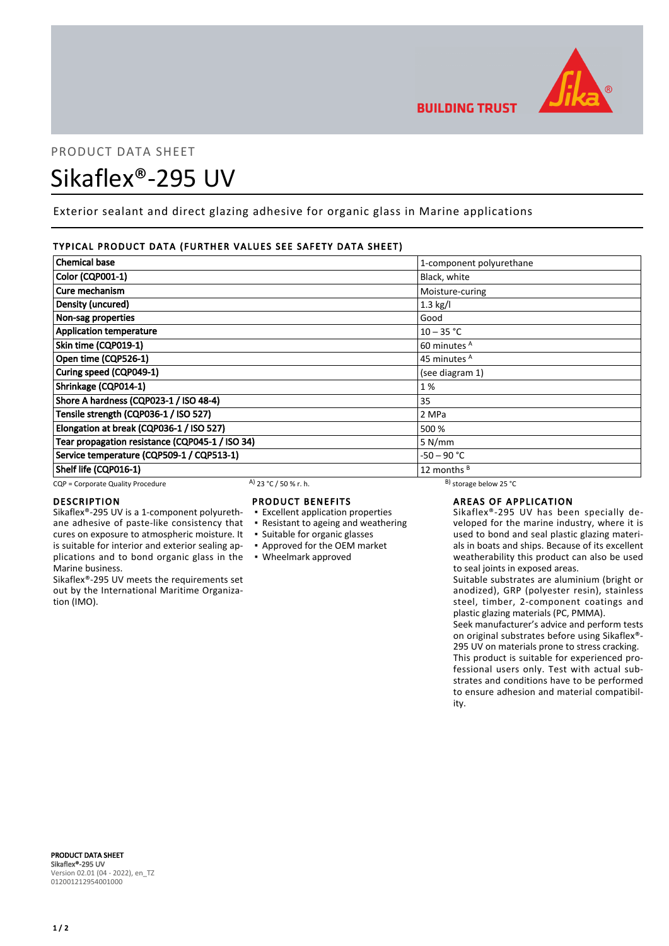

# PRODUCT DATA SHEET Sikaflex®-295 UV

Exterior sealant and direct glazing adhesive for organic glass in Marine applications

# TYPICAL PRODUCT DATA (FURTHER VALUES SEE SAFETY DATA SHEET)

| <b>Chemical base</b>                            |                       | 1-component polyurethane     |  |
|-------------------------------------------------|-----------------------|------------------------------|--|
| <b>Color (CQP001-1)</b>                         |                       | Black, white                 |  |
| Cure mechanism                                  |                       | Moisture-curing              |  |
| Density (uncured)                               |                       | $1.3$ kg/l                   |  |
| Non-sag properties                              |                       | Good                         |  |
| <b>Application temperature</b>                  |                       | $10 - 35 °C$                 |  |
| Skin time (CQP019-1)                            |                       | 60 minutes <sup>A</sup>      |  |
| Open time (CQP526-1)                            |                       | 45 minutes <sup>A</sup>      |  |
| Curing speed (CQP049-1)                         |                       | (see diagram 1)              |  |
| Shrinkage (CQP014-1)                            |                       | 1%                           |  |
| Shore A hardness (CQP023-1 / ISO 48-4)          |                       | 35                           |  |
| Tensile strength (CQP036-1 / ISO 527)           |                       | 2 MPa                        |  |
| Elongation at break (CQP036-1 / ISO 527)        |                       | 500 %                        |  |
| Tear propagation resistance (CQP045-1 / ISO 34) |                       | 5 N/mm                       |  |
| Service temperature (CQP509-1 / CQP513-1)       |                       | -50 – 90 °C                  |  |
| Shelf life (CQP016-1)                           |                       | 12 months <sup>B</sup>       |  |
| CQP = Corporate Quality Procedure               | A) 23 °C / 50 % r. h. | $^{B}$ ) storage below 25 °C |  |

cures on exposure to atmospheric moisture. It is suitable for interior and exterior sealing ap-

Sikaflex®-295 UV meets the requirements set out by the International Maritime Organiza-

# DESCRIPTION

Marine business.

tion (IMO).

# PRODUCT BENEFITS

- Sikaflex®-295 UV is a 1-component polyurethane adhesive of paste-like consistency that ▪ Excellent application properties
	- Resistant to ageing and weathering
	- Suitable for organic glasses
	- Approved for the OEM market

# plications and to bond organic glass in the ▪ Wheelmark approved

# AREAS OF APPLICATION

Sikaflex®-295 UV has been specially developed for the marine industry, where it is used to bond and seal plastic glazing materials in boats and ships. Because of its excellent weatherability this product can also be used to seal joints in exposed areas.

Suitable substrates are aluminium (bright or anodized), GRP (polyester resin), stainless steel, timber, 2-component coatings and plastic glazing materials (PC, PMMA).

Seek manufacturer's advice and perform tests on original substrates before using Sikaflex®- 295 UV on materials prone to stress cracking. This product is suitable for experienced professional users only. Test with actual substrates and conditions have to be performed to ensure adhesion and material compatibility.

PRODUCT DATA SHEET Sikaflex®-295 UV Version 02.01 (04 - 2022), en\_TZ 012001212954001000